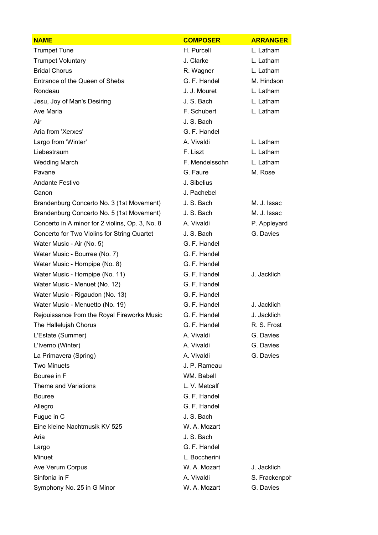| <b>NAME</b>                                     | <b>COMPOSER</b> | <b>ARRANGER</b> |
|-------------------------------------------------|-----------------|-----------------|
| <b>Trumpet Tune</b>                             | H. Purcell      | L. Latham       |
| <b>Trumpet Voluntary</b>                        | J. Clarke       | L. Latham       |
| <b>Bridal Chorus</b>                            | R. Wagner       | L. Latham       |
| Entrance of the Queen of Sheba                  | G. F. Handel    | M. Hindson      |
| Rondeau                                         | J. J. Mouret    | L. Latham       |
| Jesu, Joy of Man's Desiring                     | J. S. Bach      | L. Latham       |
| Ave Maria                                       | F. Schubert     | L. Latham       |
| Air                                             | J. S. Bach      |                 |
| Aria from 'Xerxes'                              | G. F. Handel    |                 |
| Largo from 'Winter'                             | A. Vivaldi      | L. Latham       |
| Liebestraum                                     | F. Liszt        | L. Latham       |
| <b>Wedding March</b>                            | F. Mendelssohn  | L. Latham       |
| Pavane                                          | G. Faure        | M. Rose         |
| <b>Andante Festivo</b>                          | J. Sibelius     |                 |
| Canon                                           | J. Pachebel     |                 |
| Brandenburg Concerto No. 3 (1st Movement)       | J. S. Bach      | M. J. Issac     |
| Brandenburg Concerto No. 5 (1st Movement)       | J. S. Bach      | M. J. Issac     |
| Concerto in A minor for 2 violins, Op. 3, No. 8 | A. Vivaldi      | P. Appleyard    |
| Concerto for Two Violins for String Quartet     | J. S. Bach      | G. Davies       |
| Water Music - Air (No. 5)                       | G. F. Handel    |                 |
| Water Music - Bourree (No. 7)                   | G. F. Handel    |                 |
| Water Music - Hornpipe (No. 8)                  | G. F. Handel    |                 |
| Water Music - Hornpipe (No. 11)                 | G. F. Handel    | J. Jacklich     |
| Water Music - Menuet (No. 12)                   | G. F. Handel    |                 |
| Water Music - Rigaudon (No. 13)                 | G. F. Handel    |                 |
| Water Music - Menuetto (No. 19)                 | G. F. Handel    | J. Jacklich     |
| Rejouissance from the Royal Fireworks Music     | G. F. Handel    | J. Jacklich     |
| The Hallelujah Chorus                           | G. F. Handel    | R. S. Frost     |
| L'Estate (Summer)                               | A. Vivaldi      | G. Davies       |
| L'Iverno (Winter)                               | A. Vivaldi      | G. Davies       |
| La Primavera (Spring)                           | A. Vivaldi      | G. Davies       |
| <b>Two Minuets</b>                              | J. P. Rameau    |                 |
| Bouree in F                                     | WM. Babell      |                 |
| <b>Theme and Variations</b>                     | L. V. Metcalf   |                 |
| <b>Bouree</b>                                   | G. F. Handel    |                 |
| Allegro                                         | G. F. Handel    |                 |
| Fugue in C                                      | J. S. Bach      |                 |
| Eine kleine Nachtmusik KV 525                   | W. A. Mozart    |                 |
| Aria                                            | J. S. Bach      |                 |
| Largo                                           | G. F. Handel    |                 |
| Minuet                                          | L. Boccherini   |                 |
| Ave Verum Corpus                                | W. A. Mozart    | J. Jacklich     |
| Sinfonia in F                                   | A. Vivaldi      | S. Frackenpor   |
| Symphony No. 25 in G Minor                      | W. A. Mozart    | G. Davies       |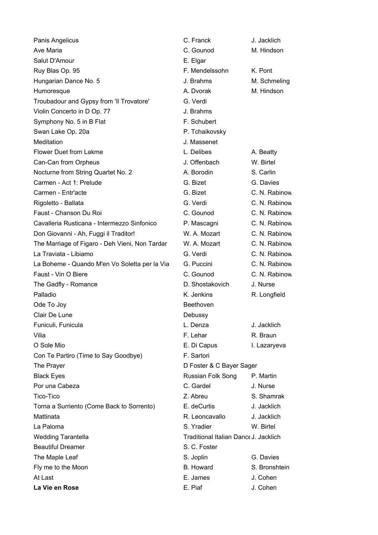| Panis Angelicus                                | C. Franck                             | J. Jacklich   |
|------------------------------------------------|---------------------------------------|---------------|
| Ave Maria                                      | C. Gounod                             | M. Hindson    |
| Salut D'Amour                                  | E. Elgar                              |               |
| Ruy Blas Op. 95                                | F. Mendelssohn                        | K. Pont       |
| Hungarian Dance No. 5                          | J. Brahms                             | M. Schmeling  |
| Humoresque                                     | A. Dvorak                             | M. Hindson    |
| Troubadour and Gypsy from 'Il Trovatore'       | G. Verdi                              |               |
| Violin Concerto in D Op. 77                    | J. Brahms                             |               |
| Symphony No. 5 in B Flat                       | F. Schubert                           |               |
| Swan Lake Op. 20a                              | P. Tchaikovsky                        |               |
| Meditation                                     | J. Massenet                           |               |
| <b>Flower Duet from Lakme</b>                  | L. Delibes                            | A. Beatty     |
| Can-Can from Orpheus                           | J. Offenbach                          | W. Birtel     |
| Nocturne from String Quartet No. 2             | A. Borodin                            | S. Carlin     |
| Carmen - Act 1: Prelude                        | G. Bizet                              | G. Davies     |
| Carmen - Entr'acte                             | G. Bizet                              | C. N. Rabinow |
| Rigoletto - Ballata                            | G. Verdi                              | C. N. Rabinow |
| Faust - Chanson Du Roi                         | C. Gounod                             | C. N. Rabinow |
| Cavalleria Rusticana - Intermezzo Sinfonico    | P. Mascagni                           | C. N. Rabinow |
| Don Giovanni - Ah, Fuggi il Traditor!          | W. A. Mozart                          | C. N. Rabinow |
| The Marriage of Figaro - Deh Vieni, Non Tardar | W. A. Mozart                          | C. N. Rabinow |
| La Traviata - Libiamo                          | G. Verdi                              | C. N. Rabinow |
| La Boheme - Quando M'en Vo Soletta per la Via  | G. Puccini                            | C. N. Rabinow |
| Faust - Vin O Biere                            | C. Gounod                             | C. N. Rabinow |
| The Gadfly - Romance                           | D. Shostakovich                       | J. Nurse      |
| Palladio                                       | K. Jenkins                            | R. Longfield  |
| Ode To Joy                                     | Beethoven                             |               |
| Clair De Lune                                  | Debussy                               |               |
| Funiculi, Funicula                             | L. Denza                              | J. Jacklich   |
| Vilia                                          | F. Lehar                              | R. Braun      |
| O Sole Mio                                     | E. Di Capus                           | I. Lazaryeva  |
| Con Te Partiro (Time to Say Goodbye)           | F. Sartori                            |               |
| The Prayer                                     | D Foster & C Bayer Sager              |               |
| <b>Black Eyes</b>                              | Russian Folk Song                     | P. Martin     |
| Por una Cabeza                                 | C. Gardel                             | J. Nurse      |
| Tico-Tico                                      | Z. Abreu                              | S. Shamrak    |
| Torna a Surriento (Come Back to Sorrento)      | E. deCurtis                           | J. Jacklich   |
| Mattinata                                      | R. Leoncavallo                        | J. Jacklich   |
| La Paloma                                      | S. Yradier                            | W. Birtel     |
| <b>Wedding Tarantella</b>                      | Traditional Italian Dance J. Jacklich |               |
| <b>Beautiful Dreamer</b>                       | S. C. Foster                          |               |
| The Maple Leaf                                 | S. Joplin                             | G. Davies     |
| Fly me to the Moon                             | <b>B.</b> Howard                      | S. Bronshtein |
| At Last                                        | E. James                              | J. Cohen      |
| La Vie en Rose                                 | E. Piaf                               | J. Cohen      |

| ۰k                           | J. Jacklich   |  |  |
|------------------------------|---------------|--|--|
| od                           | M. Hindson    |  |  |
|                              |               |  |  |
| elssohn                      | K. Pont       |  |  |
| าร                           | M. Schmeling  |  |  |
| ak                           | M. Hindson    |  |  |
|                              |               |  |  |
| าร                           |               |  |  |
| bert                         |               |  |  |
| kovsky                       |               |  |  |
| enet                         |               |  |  |
| эs                           | A. Beatty     |  |  |
| bach                         | W. Birtel     |  |  |
| lin                          | S. Carlin     |  |  |
|                              | G. Davies     |  |  |
|                              | C. N. Rabinow |  |  |
|                              | C. N. Rabinow |  |  |
| od                           | C. N. Rabinow |  |  |
| agni                         | C. N. Rabinow |  |  |
| ozart                        | C. N. Rabinow |  |  |
| ozart                        | C. N. Rabinow |  |  |
|                              | C. N. Rabinow |  |  |
| ini                          | C. N. Rabinow |  |  |
| od                           | C. N. Rabinow |  |  |
| takovich                     | J. Nurse      |  |  |
| ns                           | R. Longfield  |  |  |
| en                           |               |  |  |
| ľ                            |               |  |  |
| E                            | J. Jacklich   |  |  |
|                              | R. Braun      |  |  |
|                              | I. Lazaryeva  |  |  |
| pus<br>ri                    |               |  |  |
|                              |               |  |  |
| & C Bayer Sager              |               |  |  |
| Folk Song                    | P. Martin     |  |  |
| эI                           | J. Nurse      |  |  |
| I                            | S. Shamrak    |  |  |
| rtis                         | J. Jacklich   |  |  |
| cavallo                      | J. Jacklich   |  |  |
| er                           | W. Birtel     |  |  |
| nal Italian Danc∈J. Jacklich |               |  |  |
| ster                         |               |  |  |
| Ì                            | G. Davies     |  |  |
| ırd                          | S. Bronshtein |  |  |
| s                            | J. Cohen      |  |  |
|                              | J. Cohen      |  |  |
|                              |               |  |  |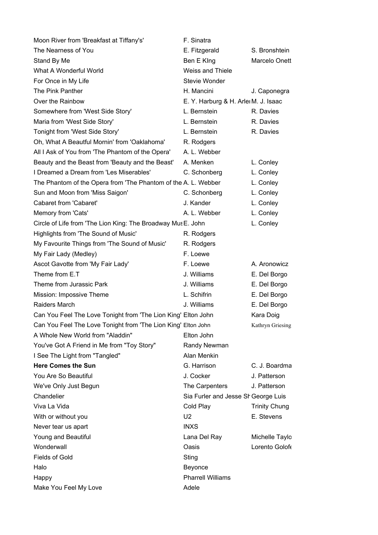| Moon River from 'Breakfast at Tiffany's'                       | F. Sinatra                           |                      |
|----------------------------------------------------------------|--------------------------------------|----------------------|
| The Nearness of You                                            | E. Fitzgerald                        | S. Bronshtein        |
| Stand By Me                                                    | Ben E King                           | Marcelo Onett        |
| What A Wonderful World                                         | Weiss and Thiele                     |                      |
| For Once in My Life                                            | Stevie Wonder                        |                      |
| The Pink Panther                                               | H. Mancini                           | J. Caponegra         |
| Over the Rainbow                                               | E. Y. Harburg & H. Arler M. J. Isaac |                      |
| Somewhere from 'West Side Story'                               | L. Bernstein                         | R. Davies            |
| Maria from 'West Side Story'                                   | L. Bernstein                         | R. Davies            |
| Tonight from 'West Side Story'                                 | L. Bernstein                         | R. Davies            |
| Oh, What A Beautful Mornin' from 'Oaklahoma'                   | R. Rodgers                           |                      |
| All I Ask of You from 'The Phantom of the Opera'               | A. L. Webber                         |                      |
| Beauty and the Beast from 'Beauty and the Beast'               | A. Menken                            | L. Conley            |
| I Dreamed a Dream from 'Les Miserables'                        | C. Schonberg                         | L. Conley            |
| The Phantom of the Opera from 'The Phantom of the A. L. Webber |                                      | L. Conley            |
| Sun and Moon from 'Miss Saigon'                                | C. Schonberg                         | L. Conley            |
| Cabaret from 'Cabaret'                                         | J. Kander                            | L. Conley            |
| Memory from 'Cats'                                             | A. L. Webber                         | L. Conley            |
| Circle of Life from 'The Lion King: The Broadway Mus E. John   |                                      | L. Conley            |
| Highlights from 'The Sound of Music'                           | R. Rodgers                           |                      |
| My Favourite Things from 'The Sound of Music'                  | R. Rodgers                           |                      |
| My Fair Lady (Medley)                                          | F. Loewe                             |                      |
| Ascot Gavotte from 'My Fair Lady'                              | F. Loewe                             | A. Aronowicz         |
| Theme from E.T                                                 | J. Williams                          | E. Del Borgo         |
| Theme from Jurassic Park                                       | J. Williams                          | E. Del Borgo         |
| Mission: Impossive Theme                                       | L. Schifrin                          | E. Del Borgo         |
| Raiders March                                                  | J. Williams                          | E. Del Borgo         |
| Can You Feel The Love Tonight from 'The Lion King' Elton John  |                                      | Kara Doig            |
| Can You Feel The Love Tonight from 'The Lion King' Elton John  |                                      | Kathryn Griesing     |
| A Whole New World from "Aladdin"                               | Elton John                           |                      |
| You've Got A Friend in Me from "Toy Story"                     | Randy Newman                         |                      |
| I See The Light from "Tangled"                                 | Alan Menkin                          |                      |
| <b>Here Comes the Sun</b>                                      | G. Harrison                          | C. J. Boardma        |
| You Are So Beautiful                                           | J. Cocker                            | J. Patterson         |
| We've Only Just Begun                                          | The Carpenters                       | J. Patterson         |
| Chandelier                                                     | Sia Furler and Jesse Sh George Luis  |                      |
| Viva La Vida                                                   | Cold Play                            | <b>Trinity Chung</b> |
| With or without you                                            | U <sub>2</sub>                       | E. Stevens           |
| Never tear us apart                                            | <b>INXS</b>                          |                      |
| Young and Beautiful                                            | Lana Del Ray                         | Michelle Taylo       |
| Wonderwall                                                     | Oasis                                | Lorento Golofe       |
| <b>Fields of Gold</b>                                          | Sting                                |                      |
| Halo                                                           | Beyonce                              |                      |
| Happy                                                          | <b>Pharrell Williams</b>             |                      |
| Make You Feel My Love                                          | Adele                                |                      |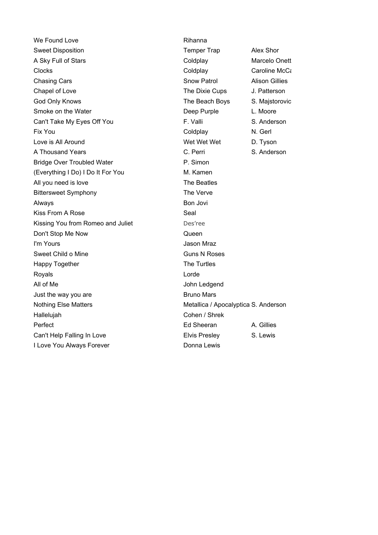We Found Love **Rihanna** Sweet Disposition **Temper Trap** Alex Shor A Sky Full of Stars **Coldplay** Coldplay Marcelo Onett Clocks Clocks Coldplay Coldplay Coldplay Caroline McCaskey **Chasing Cars** Chasing Cars Chasing Cars Chasing Cars Chasing Cars Chasing Cars Chasing Cars Chasing Cars Chasing Cars Chasing Cars Chasing Chasing Chasing Chasing Chasing Chasing Chasing Chasing Chasing Chasing Chasing Ch Chapel of Love **The Dixie Cups** J. Patterson God Only Knows **The Beach Boys** S. Majstorovic Smoke on the Water **Deep Purple** L. Moore Can't Take My Eyes Off You **F. Valli** F. Valli S. Anderson Fix You **Coldplay N. Gerl** Love is All Around Wet Wet Wet D. Tyson A Thousand Years C. Perri S. Anderson Bridge Over Troubled Water **P. Simon** (Everything I Do) I Do It For You M. Kamen All you need is love The Beatles Bittersweet Symphony The Verve Always Bon Jovi Kiss From A Rose Seal Kissing You from Romeo and Juliet Des'ree Don't Stop Me Now **Queen** I'm Yours Jason Mraz Sweet Child o Mine Guns N Roses Happy Together The Turtles Royals **Contract Contract Contract Contract Contract Contract Contract Contract Contract Contract Contract Contract Contract Contract Contract Contract Contract Contract Contract Contract Contract Contract Contract Contrac** All of Me John Ledgend Just the way you are **Bruno Mars** Bruno Mars Nothing Else Matters Metallica / Apocalyptica S. Anderson Hallelujah Cohen / Shrek Perfect **Ed Sheeran** A. Gillies Can't Help Falling In Love **Elvis Presley** S. Lewis I Love You Always Forever **DONN** Donna Lewis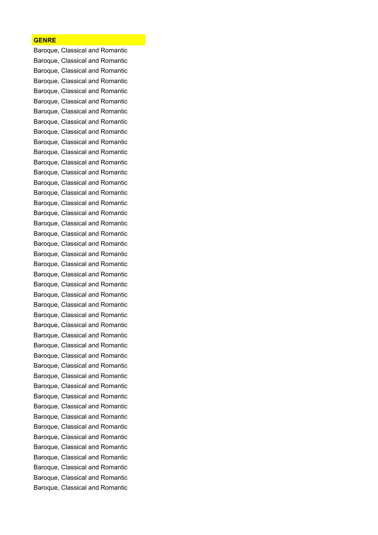## **GENRE**

Baroque, Classical and Romantic Baroque, Classical and Romantic Baroque, Classical and Romantic Baroque, Classical and Romantic Baroque, Classical and Romantic Baroque, Classical and Romantic Baroque, Classical and Romantic Baroque, Classical and Romantic Baroque, Classical and Romantic Baroque, Classical and Romantic Baroque, Classical and Romantic Baroque, Classical and Romantic Baroque, Classical and Romantic Baroque, Classical and Romantic Baroque, Classical and Romantic Baroque, Classical and Romantic Baroque, Classical and Romantic Baroque, Classical and Romantic Baroque, Classical and Romantic Baroque, Classical and Romantic Baroque, Classical and Romantic Baroque, Classical and Romantic Baroque, Classical and Romantic Baroque, Classical and Romantic Baroque, Classical and Romantic Baroque, Classical and Romantic Baroque, Classical and Romantic Baroque, Classical and Romantic Baroque, Classical and Romantic Baroque, Classical and Romantic Baroque, Classical and Romantic Baroque, Classical and Romantic Baroque, Classical and Romantic Baroque, Classical and Romantic Baroque, Classical and Romantic Baroque, Classical and Romantic Baroque, Classical and Romantic Baroque, Classical and Romantic Baroque, Classical and Romantic Baroque, Classical and Romantic Baroque, Classical and Romantic Baroque, Classical and Romantic Baroque, Classical and Romantic Baroque, Classical and Romantic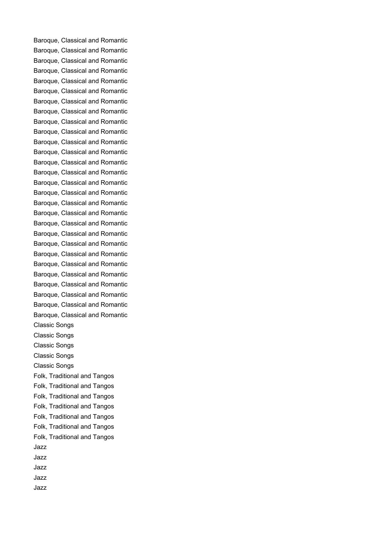Baroque, Classical and Romantic Baroque, Classical and Romantic Baroque, Classical and Romantic Baroque, Classical and Romantic Baroque, Classical and Romantic Baroque, Classical and Romantic Baroque, Classical and Romantic Baroque, Classical and Romantic Baroque, Classical and Romantic Baroque, Classical and Romantic Baroque, Classical and Romantic Baroque, Classical and Romantic Baroque, Classical and Romantic Baroque, Classical and Romantic Baroque, Classical and Romantic Baroque, Classical and Romantic Baroque, Classical and Romantic Baroque, Classical and Romantic Baroque, Classical and Romantic Baroque, Classical and Romantic Baroque, Classical and Romantic Baroque, Classical and Romantic Baroque, Classical and Romantic Baroque, Classical and Romantic Baroque, Classical and Romantic Baroque, Classical and Romantic Baroque, Classical and Romantic Baroque, Classical and Romantic Classic Songs Classic Songs Classic Songs Classic Songs Classic Songs Folk, Traditional and Tangos Folk, Traditional and Tangos Folk, Traditional and Tangos Folk, Traditional and Tangos Folk, Traditional and Tangos Folk, Traditional and Tangos Folk, Traditional and Tangos Jazz Jazz Jazz Jazz Jazz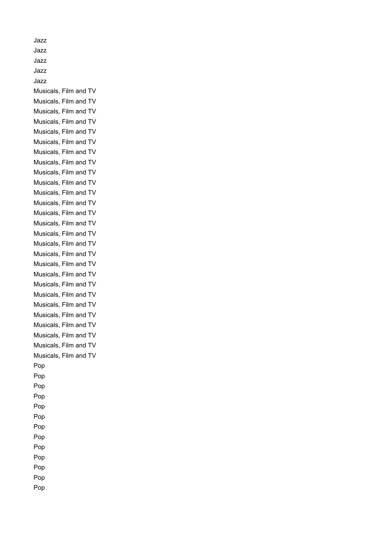Jazz Jazz Jazz Jazz Jazz Musicals, Film and TV Musicals, Film and TV Musicals, Film and TV Musicals, Film and TV Musicals, Film and TV Musicals, Film and TV Musicals, Film and TV Musicals, Film and TV Musicals, Film and TV Musicals, Film and TV Musicals, Film and TV Musicals, Film and TV Musicals, Film and TV Musicals, Film and TV Musicals, Film and TV Musicals, Film and TV Musicals, Film and TV Musicals, Film and TV Musicals, Film and TV Musicals, Film and TV Musicals, Film and TV Musicals, Film and TV Musicals, Film and TV Musicals, Film and TV Musicals, Film and TV Musicals, Film and TV Musicals, Film and TV Pop Pop Pop Pop Pop Pop Pop Pop Pop Pop Pop Pop Pop